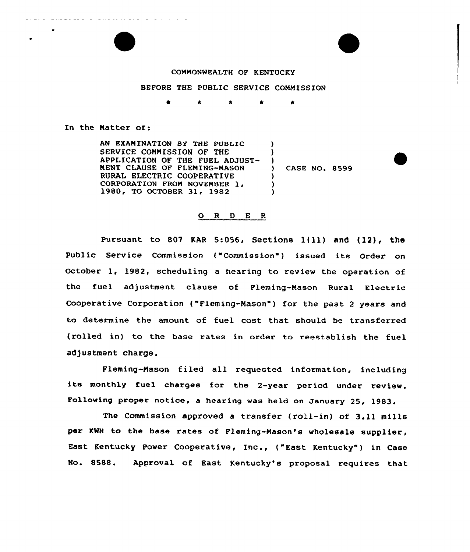#### COMMONWEALTH OF KENTUCKY

### BEFORE THE PUBLIC SERVICE COMMISSION

 $\bullet$  $\bullet$ 

In the Natter of:

AN EXANINATION BY THE PUBLIC SERVICE COMMISSION OF THE APPLICATION OF THE FUEL ADJUST-NEST CLAUSE OF FLENING-MASON RURAL ELECTRIC COOPERATIVE CORPORATION FROM NOVEMBER 1, 1980, TO OCTOBER 31, 1982  $\lambda$  $\left\{ \begin{array}{c} 1 \\ 2 \end{array} \right\}$ 

) CASE NO. 8599

)

) ) )

#### 0 <sup>R</sup> <sup>D</sup> <sup>E</sup> <sup>R</sup>

Pursuant to 807 KAR 5:056, Sections  $1(11)$  and  $(12)$ , the Public Service Commission ("Commission") issued its Order on October 1, 1982, scheduling a hearing to review the operation of the fuel adjustment clause of Fleming-Mason Rural Electric Cooperative Corporation {"Fleming-Mason" ) for the past <sup>2</sup> years and to determine the amount of fuel cost that should be transferred (rolled in) to the base rates in order to reestablish the fuel adjustment charge.

Fleming-Mason filed all requested information, including its monthly fuel charges for the 2-year period under review. Following proper notice, <sup>a</sup> hearing was held on January 25, 1983.

The Commission approved a transfer (roll-in) of 3.11 mills per KWH to the base rates of Fleming-Mason's wholesale supplier, East Kentucky Power Cooperative, Inc., ("East Kentucky" ) in Case No. 8588. Approval of East Kentucky's proposal requires that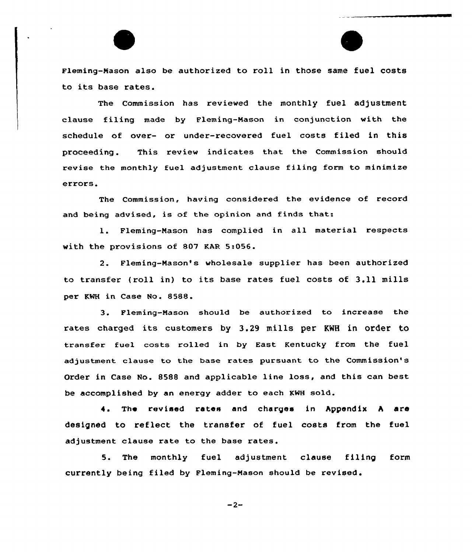Fleming-mason also be authorized to roll in those same fuel costs to its base rates.

The Commission has reviewed the monthly fuel adjustment clause filing made by Fleming-Nason in conjunction with the schedule of over- or under-recovered fuel costs filed in this proceeding . This review indicates that the Commission should revise the monthly fuel adjustment clause filing form to minimize errors.

The Commission, having considered the evidence of record and being advised, is of the opinion and finds that:

l. Fleming-Nason has complied in all material respects with the provisions of 807 KAR 5:056.

2. Fleming-Mason's wholesale supplier has been authorized to transfer (roll in) to its base rates fuel costs of 3.11 mills per KWH in Case No. 8588.

3. Fleming-Mason shou1d be authorized to increase the rates charged its customers by 3.29 mills per KNH in order to transfer fuel costs rolled in by East Kentucky from the fuel adjustment clause to the base rates pursuant to the Commission's Order in Case No. 8588 and applicable line loss, and this can best be accomplished by an energy adder to each KWH so1d.

4. The revised rates and charges in Appendix A are designed to reflect the transfer of fuel costs from the fuel adjustment c1ause rate to the base rates.

5. The monthly fuel adjustment clause filing form currently being filed by Fleming-Mason should be revised.

 $-2-$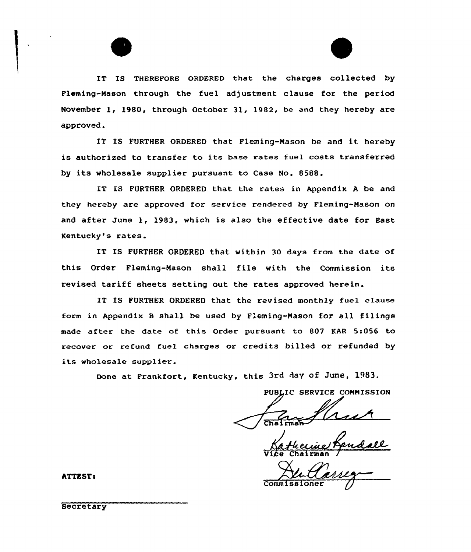IT IS THEREFoRE QRDERED that the charges collected by Fleming-Mason through the fuel adjustment clause for the period November 1, 1980, through October 31, 1982, be and they hereby are approved.

IT IS FURTHER ORDERED that Fleming-Nason be and it hereby is authorized to transfer to its base rates fuel costs transferred by its wholesale supplier pursuant to Case No. 8588.

IT IS FURTHER ORDERED that the rates in Appendix <sup>A</sup> be and they hereby are approved for service rendered by Fleming-Nason on and after June 1, 1983, which is also the effective date for East Kentucky's rates.

IT IS FURTHER ORDERED that within 30 days from the date of this Order Fleming-Mason shall file with the Commission its revised tariff sheets setting out the rates approved herein.

IT IS FURTHER ORDERED that the revised monthly fuel clause form in Appendix <sup>B</sup> shall be used by Fleming-Nason for all filings made aftex the date of this Order pursuant to 807 KAR 5:056 to recover or refund fuel charges or credits billed or refunded by its wholesale supplier.

Done at Frankfort, Kentucky, this 3rd day of June, 1983.

PUBLIC SERVICE COMMISSION

V14e Chairman /

Commissioner

hTTEST!

**Secretary**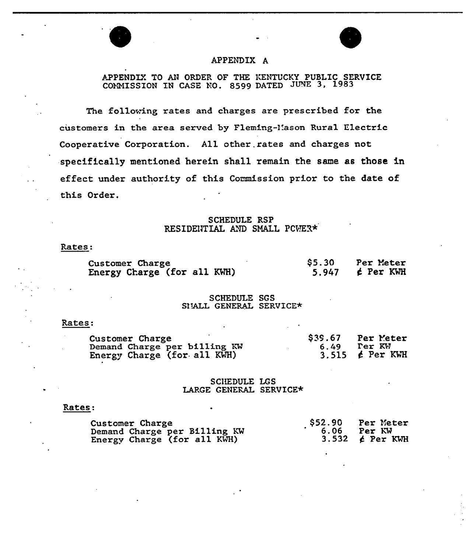

### APPENDIX A

## APPENDLY. TO AN ORDER OF THE KENTUCKY PUBLIC SERVICE COMMISSION IN CASE NO. 8599 DATED

The following rates and charges are prescribed for the customers in the area served by Fleming-Mason Rural Electric Cooperative Corporation. All other. rates and charges not specifically mentioned herein shall remain the same as those in effect under authority of this Commission prior to the date of this Order.

### SCHEDULE RSP RESIDENTIAL AND SMALL PCWER\*

#### Rates.

| Customer Charge             | \$5.30 | Per Meter            |
|-----------------------------|--------|----------------------|
| Energy Charge (for all KWH) |        | 5.947 $\neq$ Per KWH |

### SCHEDULE SGS SITALL GENERAL SERVICE\*

#### Rates:

| Customer Charge                                             |      | $$39.67$ Per Meter             |
|-------------------------------------------------------------|------|--------------------------------|
| Demand Charge per billing KW<br>Energy Charge (for all KWH) | 6.49 | Ter KW<br>3.515 $\neq$ Per KWH |

### SCHEDULE LGS LAPGE GENERAL SERVICE\*

### Rates:

| Customer Charge              |      | $$52.90$ Per Meter             |
|------------------------------|------|--------------------------------|
| Demand Charge per Billing KW | 6.06 | Per KW<br>3.532 $\neq$ Per KWH |
| Energy Charge (for all KWH)  |      |                                |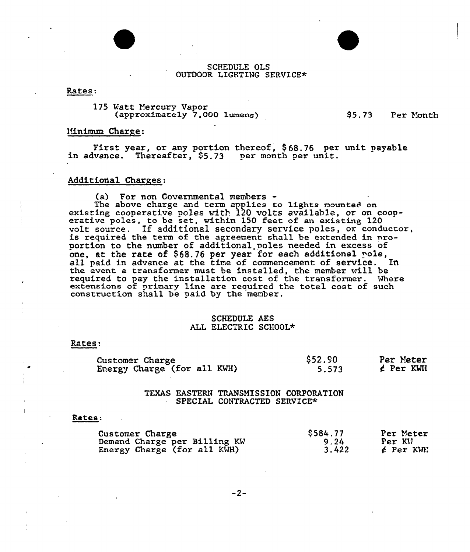

Rates:

175 Watt Mercury Vapor (approximately 7,000 lumens}

 $$5.73$  Per Month

#### Minimum Charge:

First year, or any portion thereof, \$68.76 per unit payable<br>in advance. Thereafter, \$5.73 per month per unit.

### Additional Charges:

(a) For non Covernmental members-

The above charge and term applies to lights nounted on<br>existing cooperative poles with 120 volts available, or on cooperative poles, to be set, within 150 feet of an existing 120 volt source. If additional secondary service poles, or conductor, is required the term of the agreement shall be extended in proportion to the number of additional poles needed in excess of one, at the rate of  $$68.76$  per year for each additional  ${pole}$ , all paid in advance at the time of commencement of service. In the event a transformer must be installed, the member will be required to pay the installation cost of the transformer. Where extensions of primary line are required the total cost of such construction shall be paid by the member.

### SCHEDULE AES ALL ELECTRIC SCHOOL\*

### Rates:

| Customer Charge             | \$52.90 | Per Meter |
|-----------------------------|---------|-----------|
| Energy Charge (for all KWH) | 5.573   | ¢ Per KWH |

### TEXAS EASTERN TRANSMISSION CORPORATION SPECIAL CONTRACTED SERVICE\*

#### Rates:

| Customer Charge              | \$584.77 | Per Meter |
|------------------------------|----------|-----------|
| Demand Charge per Billing KW | 9.24     | Per KV    |
| Energy Charge (for all KWH)  | 3.422    | é Per KWN |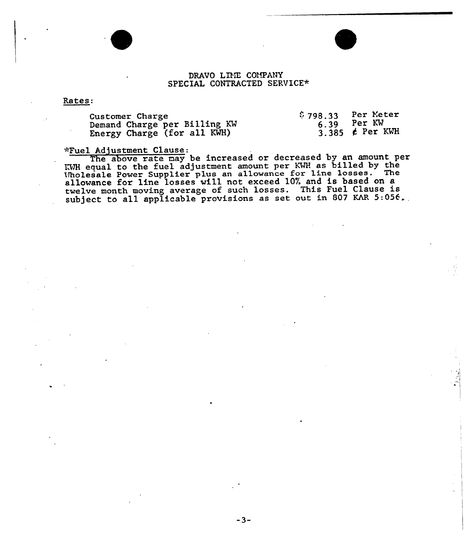### DRAVO LINE COMPANY SPECIAL CONTRACTED SERVICE\*

#### Rates:

| Customer Charge              | $$798.33$ Per Meter |                      |
|------------------------------|---------------------|----------------------|
| Demand Charge per Billing KW |                     | $6.39$ Per KW        |
| Energy Charge (for all KWH)  |                     | 3.385 $\neq$ Per KWH |

# >"Fuel Adjustment Clause:

The above rate may be increased or decreased by an amount per YAH equal to the fuel adjustment amount per KMH as billed by the Uholesale Power Supplier plus an allowance for line losses. The wholesale Power supplier plus an afficience for fine research on a allowance for line losses will not exceed for, and is based on a<br>twelve month moving average of such losses. This Fuel Clause is subject to all applicable provisions as set out in 807 KAR 5:056.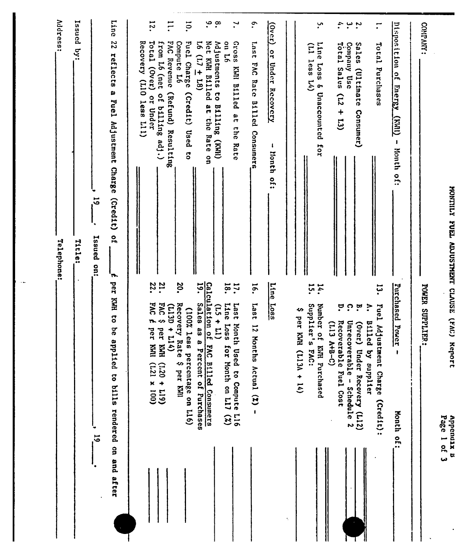| <b></b>                                                                          |
|----------------------------------------------------------------------------------|
| i                                                                                |
| l<br>į<br>i<br>$\ddot{\mathbf{r}}$                                               |
| ֧֧֧֧֦֧֧֦֧֧֦֧֧֦֧֧֧֪֧֧֧֧֧֚֚֚֚֚֚֚֚֚֚֚֚֚֚֚֚֚֚֚֚֚֚֚֚֚֚֚֚֚֬֡֡֡֡֡֡֡֡֬֓֡֡֡֬֝֓֡֬֓֓֓֓֓֝֬֝֬ |
| .<br>.                                                                           |
| i<br>?                                                                           |

|   | ann<br>S |
|---|----------|
|   |          |
| b | cnd.     |
|   |          |
| ᢩ | $\bf{x}$ |
|   | r.       |

|             |                                                                                                                                  | <b>Address:</b><br>Telephone:                                                                           |
|-------------|----------------------------------------------------------------------------------------------------------------------------------|---------------------------------------------------------------------------------------------------------|
|             |                                                                                                                                  | Issued by:<br>Title:                                                                                    |
| ت<br>آھ     |                                                                                                                                  | $\vec{5}$<br>Issued on:                                                                                 |
|             | per KWH to be ap<br>plied to bills rendered on and after                                                                         | Line<br>22<br>reflects a<br>Puel Adjustment Charge<br>(c <sub>red1</sub> t)<br>o<br>'n                  |
|             |                                                                                                                                  | Recovery (LlO less Ll)                                                                                  |
|             | 22.<br><b>DAT</b><br>$\overline{r}$<br>per KHI<br>$(001 \times 127)$                                                             | 12.<br>Total (Over)<br>or Under                                                                         |
|             | <b>21.</b><br>242<br>$(113D + 114)$<br>per KWH<br>$(611 + 021)$                                                                  | Ξ<br>FAC Revenue<br>from L6 (net<br>(Refund) Resulting<br>of billing adj.)                              |
|             | 20.<br>Recovery Rate \$ per KWI<br>(100% less<br>percentage on L16)                                                              | $\overline{5}$<br>Compute L6<br>Fuel Charge<br>(Credit)<br>Used<br>ទី                                   |
|             | <b>19.</b><br><b>SalaS</b><br>89 B<br>Percent of Purchases                                                                       | $16(17 \pm 18)$                                                                                         |
|             | Calculation of<br>$(11 + 51)$<br>FAC Billed Consumers                                                                            | $\ddot{\bm{c}}$<br>$\cdot^{\circ}$<br>Net KWH Billed at the Rate on<br>Adjustments to Billing (KWH)     |
|             | $\overline{8}$<br>$\mathbf{r}$ .<br>Line Loss<br>1ser <sub>1</sub><br>Month<br>m<br>(%) $L11$ uo thuok 10<br>Used to Compute L16 | $\mathbf{r}$<br>Gross<br>97 no<br>KWI Billed at the Rate                                                |
|             | $\overline{16}$ .<br>1887<br>$12$ Months Actual $(2)$ -                                                                          | $\tilde{\cdot}$<br>1su <sub>1</sub><br>FAC Rate Billed Consumers                                        |
|             | <b>Line</b><br>$\frac{Loss}{2}$                                                                                                  | (1300)<br>or Under Recovery<br>lionth of:                                                               |
| ÷,          |                                                                                                                                  |                                                                                                         |
|             | Supplier's<br>∽<br>per KWH<br>$(1130 + 14)$<br><b>FAC:</b>                                                                       | $(11)$ less $14)$                                                                                       |
|             | 14.<br>15.<br>Number of KNH Purchased                                                                                            | ِبْ<br>Line Loss & Unaccounted for                                                                      |
|             | ္<br>Recoverable Fuel Cost<br>$(113 A+B-C)$                                                                                      | $\ddot{\mathbf{u}}$<br>$\tau$ otal Sales (L2 + L3)                                                      |
|             | ှ<br>ŗ<br>Unrecoverable - Schedule 2<br>(1300)<br>Under Recovery (L12)                                                           | ىم س<br>Sales<br>Company Use<br>(Ultimate<br>Consumer)                                                  |
|             | ?,<br><b>Billed</b><br>by supplier                                                                                               |                                                                                                         |
|             | تبة.<br>Fuel<br>Adjustment Charge (Credit):                                                                                      | Total Purchases                                                                                         |
|             | Purchased<br>Power<br>$\pmb{\mathsf{I}}$<br>Honth of:                                                                            | Disposition of<br><b>Energy</b><br>$\overline{\text{(\text{IMX})}}$<br>$\mathbf{I}$<br><b>Nonth</b> of: |
|             | POWER SUPPLIER:                                                                                                                  | COMPANY:                                                                                                |
| Page 1 of 3 |                                                                                                                                  |                                                                                                         |
|             |                                                                                                                                  |                                                                                                         |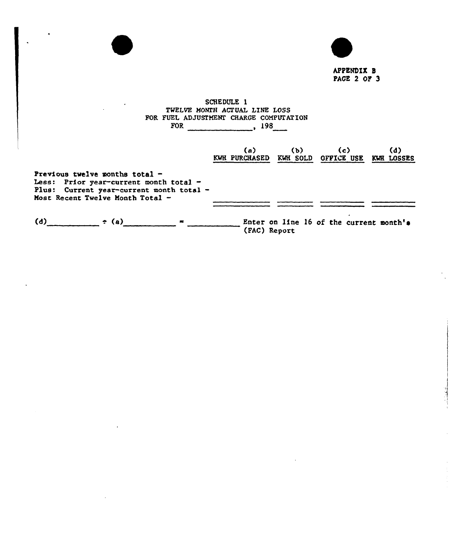

| FOR FUEL ADJUSTMENT CHARGE COMPUTATION                                                                                                                         | TWELVE MONTH ACTUAL LINE LOSS<br>$FOR$ , 198 |              |                                                     |     |
|----------------------------------------------------------------------------------------------------------------------------------------------------------------|----------------------------------------------|--------------|-----------------------------------------------------|-----|
|                                                                                                                                                                | (a)                                          | (b)          | (c)<br>KWH PURCHASED KWH SOLD OFFICE USE KWH LOSSES | (d) |
| Previous twelve months total $-$<br>Less: Prior year-current month total $-$<br>Plus: Current year-current month total -<br>Most Recent Twelve Month Total $-$ |                                              |              |                                                     |     |
| (d) $\div$ (a) $\qquad$                                                                                                                                        |                                              | (FAC) Report | Enter on line 16 of the current month's             |     |